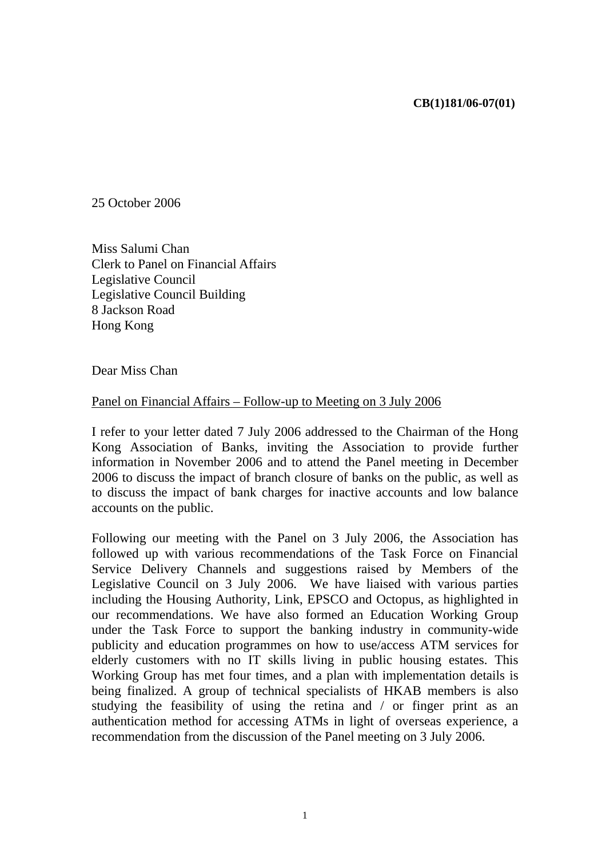## **CB(1)181/06-07(01)**

25 October 2006

Miss Salumi Chan Clerk to Panel on Financial Affairs Legislative Council Legislative Council Building 8 Jackson Road Hong Kong

Dear Miss Chan

## Panel on Financial Affairs – Follow-up to Meeting on 3 July 2006

I refer to your letter dated 7 July 2006 addressed to the Chairman of the Hong Kong Association of Banks, inviting the Association to provide further information in November 2006 and to attend the Panel meeting in December 2006 to discuss the impact of branch closure of banks on the public, as well as to discuss the impact of bank charges for inactive accounts and low balance accounts on the public.

Following our meeting with the Panel on 3 July 2006, the Association has followed up with various recommendations of the Task Force on Financial Service Delivery Channels and suggestions raised by Members of the Legislative Council on 3 July 2006. We have liaised with various parties including the Housing Authority, Link, EPSCO and Octopus, as highlighted in our recommendations. We have also formed an Education Working Group under the Task Force to support the banking industry in community-wide publicity and education programmes on how to use/access ATM services for elderly customers with no IT skills living in public housing estates. This Working Group has met four times, and a plan with implementation details is being finalized. A group of technical specialists of HKAB members is also studying the feasibility of using the retina and / or finger print as an authentication method for accessing ATMs in light of overseas experience, a recommendation from the discussion of the Panel meeting on 3 July 2006.